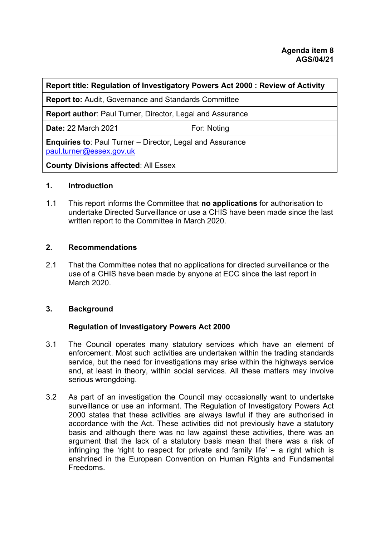| Report title: Regulation of Investigatory Powers Act 2000 : Review of Activity               |             |
|----------------------------------------------------------------------------------------------|-------------|
| <b>Report to: Audit, Governance and Standards Committee</b>                                  |             |
| <b>Report author: Paul Turner, Director, Legal and Assurance</b>                             |             |
| <b>Date: 22 March 2021</b>                                                                   | For: Noting |
| <b>Enquiries to: Paul Turner – Director, Legal and Assurance</b><br>paul.turner@essex.gov.uk |             |
| <b>County Divisions affected: All Essex</b>                                                  |             |

#### **1. Introduction**

1.1 This report informs the Committee that **no applications** for authorisation to undertake Directed Surveillance or use a CHIS have been made since the last written report to the Committee in March 2020.

## **2. Recommendations**

2.1 That the Committee notes that no applications for directed surveillance or the use of a CHIS have been made by anyone at ECC since the last report in March 2020.

# **3. Background**

# **Regulation of Investigatory Powers Act 2000**

- 3.1 The Council operates many statutory services which have an element of enforcement. Most such activities are undertaken within the trading standards service, but the need for investigations may arise within the highways service and, at least in theory, within social services. All these matters may involve serious wrongdoing.
- 3.2 As part of an investigation the Council may occasionally want to undertake surveillance or use an informant. The Regulation of Investigatory Powers Act 2000 states that these activities are always lawful if they are authorised in accordance with the Act. These activities did not previously have a statutory basis and although there was no law against these activities, there was an argument that the lack of a statutory basis mean that there was a risk of infringing the 'right to respect for private and family life'  $-$  a right which is enshrined in the European Convention on Human Rights and Fundamental Freedoms.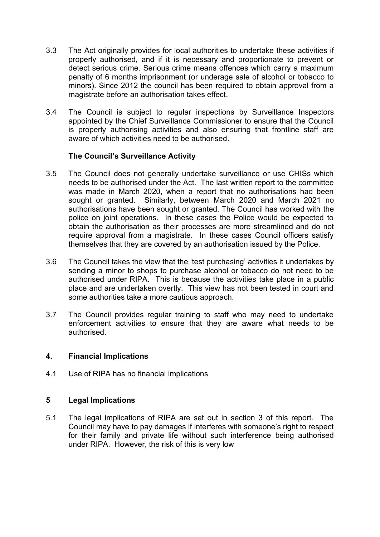- 3.3 The Act originally provides for local authorities to undertake these activities if properly authorised, and if it is necessary and proportionate to prevent or detect serious crime. Serious crime means offences which carry a maximum penalty of 6 months imprisonment (or underage sale of alcohol or tobacco to minors). Since 2012 the council has been required to obtain approval from a magistrate before an authorisation takes effect.
- 3.4 The Council is subject to regular inspections by Surveillance Inspectors appointed by the Chief Surveillance Commissioner to ensure that the Council is properly authorising activities and also ensuring that frontline staff are aware of which activities need to be authorised.

## **The Council's Surveillance Activity**

- 3.5 The Council does not generally undertake surveillance or use CHISs which needs to be authorised under the Act. The last written report to the committee was made in March 2020, when a report that no authorisations had been sought or granted. Similarly, between March 2020 and March 2021 no authorisations have been sought or granted. The Council has worked with the police on joint operations. In these cases the Police would be expected to obtain the authorisation as their processes are more streamlined and do not require approval from a magistrate. In these cases Council officers satisfy themselves that they are covered by an authorisation issued by the Police.
- 3.6 The Council takes the view that the 'test purchasing' activities it undertakes by sending a minor to shops to purchase alcohol or tobacco do not need to be authorised under RIPA. This is because the activities take place in a public place and are undertaken overtly. This view has not been tested in court and some authorities take a more cautious approach.
- 3.7 The Council provides regular training to staff who may need to undertake enforcement activities to ensure that they are aware what needs to be authorised.

#### **4. Financial Implications**

4.1 Use of RIPA has no financial implications

#### **5 Legal Implications**

5.1 The legal implications of RIPA are set out in section 3 of this report. The Council may have to pay damages if interferes with someone's right to respect for their family and private life without such interference being authorised under RIPA. However, the risk of this is very low